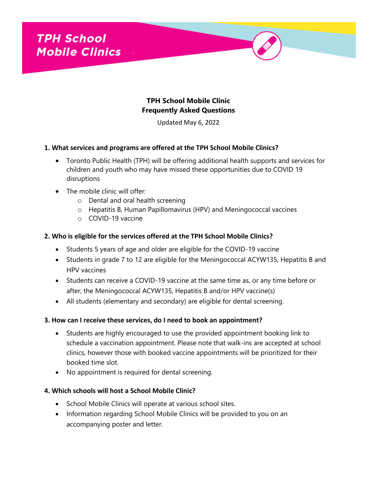

# **TPH School Mobile Clinic Frequently Asked Questions**

Updated May 6, 2022

#### **1. What services and programs are offered at the TPH School Mobile Clinics?**

- Toronto Public Health (TPH) will be offering additional health supports and services for children and youth who may have missed these opportunities due to COVID 19 disruptions
- The mobile clinic will offer:
	- o Dental and oral health screening
	- o Hepatitis B, Human Papillomavirus (HPV) and Meningococcal vaccines
	- o COVID-19 vaccine

#### **2. Who is eligible for the services offered at the TPH School Mobile Clinics?**

- Students 5 years of age and older are eligible for the COVID-19 vaccine
- Students in grade 7 to 12 are eligible for the Meningococcal ACYW135, Hepatitis B and HPV vaccines
- Students can receive a COVID-19 vaccine at the same time as, or any time before or after, the Meningococcal ACYW135, Hepatitis B and/or HPV vaccine(s)
- All students (elementary and secondary) are eligible for dental screening.

#### **3. How can I receive these services, do I need to book an appointment?**

- Students are highly encouraged to use the provided appointment booking link to schedule a vaccination appointment. Please note that walk-ins are accepted at school clinics, however those with booked vaccine appointments will be prioritized for their booked time slot.
- No appointment is required for dental screening.

## **4. Which schools will host a School Mobile Clinic?**

- School Mobile Clinics will operate at various school sites.
- Information regarding School Mobile Clinics will be provided to you on an accompanying poster and letter.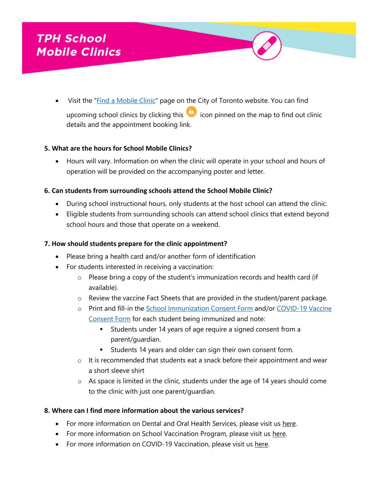• Visit the "**Find a Mobile Clinic**" page on the City of Toronto website. You can find upcoming school clinics by clicking this icon pinned on the map to find out clinic details and the appointment booking link.

## **5. What are the hours for School Mobile Clinics?**

 Hours will vary. Information on when the clinic will operate in your school and hours of operation will be provided on the accompanying poster and letter.

## **6. Can students from surrounding schools attend the School Mobile Clinic?**

- During school instructional hours, only students at the host school can attend the clinic.
- Eligible students from surrounding schools can attend school clinics that extend beyond school hours and those that operate on a weekend.

#### **7. How should students prepare for the clinic appointment?**

- Please bring a health card and/or another form of identification
- For students interested in receiving a vaccination:
	- o Please bring a copy of the student's immunization records and health card (if available).
	- o Review the vaccine Fact Sheets that are provided in the student/parent package.
	- o Print and fill-in the [School Immunization Consent Form](https://www.toronto.ca/wp-content/uploads/2022/02/953b-SIPConsentFormSeptember29EN.pdf) and/or [COVID-19 Vaccine](https://www.health.gov.on.ca/en/pro/programs/publichealth/coronavirus/docs/vaccine/COVID-19_vaccine_consent_form_youth.pdf)  [Consent Form](https://www.health.gov.on.ca/en/pro/programs/publichealth/coronavirus/docs/vaccine/COVID-19_vaccine_consent_form_youth.pdf) for each student being immunized and note:
		- **Students under 14 years of age require a signed consent from a** parent/guardian.
		- **Students 14 years and older can sign their own consent form.**
	- $\circ$  It is recommended that students eat a snack before their appointment and wear a short sleeve shirt
	- $\circ$  As space is limited in the clinic, students under the age of 14 years should come to the clinic with just one parent/guardian.

#### **8. Where can I find more information about the various services?**

- For more information on Dental and Oral Health Services, please visit us here.
- For more information on School Vaccination Program, please visit us [here.](https://www.toronto.ca/community-people/health-wellness-care/health-programs-advice/immunization/get-immunized-children-youth/grade-7-vaccination-program/)
- For more information on COVID-19 Vaccination, please visit us here.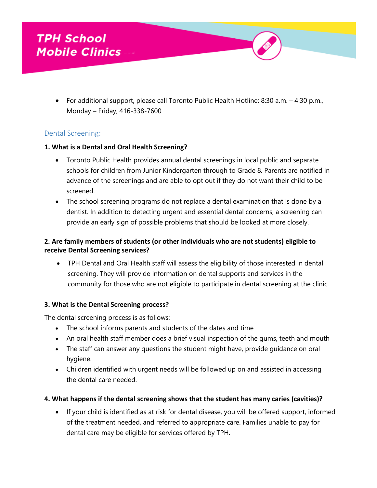For additional support, please call Toronto Public Health Hotline: 8:30 a.m. – 4:30 p.m., Monday – Friday, 416-338-7600

# Dental Screening:

#### **1. What is a Dental and Oral Health Screening?**

- Toronto Public Health provides annual dental screenings in local public and separate schools for children from Junior Kindergarten through to Grade 8. Parents are notified in advance of the screenings and are able to opt out if they do not want their child to be screened.
- The school screening programs do not replace a dental examination that is done by a dentist. In addition to detecting urgent and essential dental concerns, a screening can provide an early sign of possible problems that should be looked at more closely.

# **2. Are family members of students (or other individuals who are not students) eligible to receive Dental Screening services?**

 TPH Dental and Oral Health staff will assess the eligibility of those interested in dental screening. They will provide information on dental supports and services in the community for those who are not eligible to participate in dental screening at the clinic.

## **3. What is the Dental Screening process?**

The dental screening process is as follows:

- The school informs parents and students of the dates and time
- An oral health staff member does a brief visual inspection of the gums, teeth and mouth
- The staff can answer any questions the student might have, provide guidance on oral hygiene.
- Children identified with urgent needs will be followed up on and assisted in accessing the dental care needed.

## **4. What happens if the dental screening shows that the student has many caries (cavities)?**

 If your child is identified as at risk for dental disease, you will be offered support, informed of the treatment needed, and referred to appropriate care. Families unable to pay for dental care may be eligible for services offered by TPH.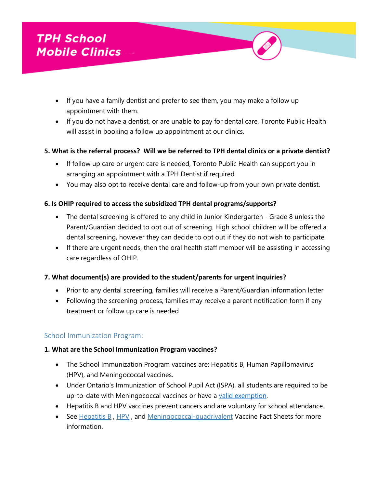- If you have a family dentist and prefer to see them, you may make a follow up appointment with them.
- If you do not have a dentist, or are unable to pay for dental care, Toronto Public Health will assist in booking a follow up appointment at our clinics.

# **5. What is the referral process? Will we be referred to TPH dental clinics or a private dentist?**

- If follow up care or urgent care is needed, Toronto Public Health can support you in arranging an appointment with a TPH Dentist if required
- You may also opt to receive dental care and follow-up from your own private dentist.

# **6. Is OHIP required to access the subsidized TPH dental programs/supports?**

- The dental screening is offered to any child in Junior Kindergarten Grade 8 unless the Parent/Guardian decided to opt out of screening. High school children will be offered a dental screening, however they can decide to opt out if they do not wish to participate.
- If there are urgent needs, then the oral health staff member will be assisting in accessing care regardless of OHIP.

# **7. What document(s) are provided to the student/parents for urgent inquiries?**

- Prior to any dental screening, families will receive a Parent/Guardian information letter
- Following the screening process, families may receive a parent notification form if any treatment or follow up care is needed

# School Immunization Program:

## **1. What are the School Immunization Program vaccines?**

- The School Immunization Program vaccines are: Hepatitis B, Human Papillomavirus (HPV), and Meningococcal vaccines.
- Under Ontario's Immunization of School Pupil Act (ISPA), all students are required to be up-to-date with Meningococcal vaccines or have a [valid exemption.](https://www.ontario.ca/laws/statute/90i01)
- Hepatitis B and HPV vaccines prevent cancers and are voluntary for school attendance.
- See [Hepatitis B](https://www.toronto.ca/community-people/health-wellness-care/diseases-medications-vaccines/hepatitis-b-vaccine-fact-sheet/), [HPV](https://www.toronto.ca/community-people/health-wellness-care/diseases-medications-vaccines/human-papillomavirus-hpv-vaccine/), and [Meningococcal-quadrivalent](https://www.toronto.ca/community-people/health-wellness-care/diseases-medications-vaccines/meningococcal-a-c-y-w-135-vaccine/) Vaccine Fact Sheets for more information.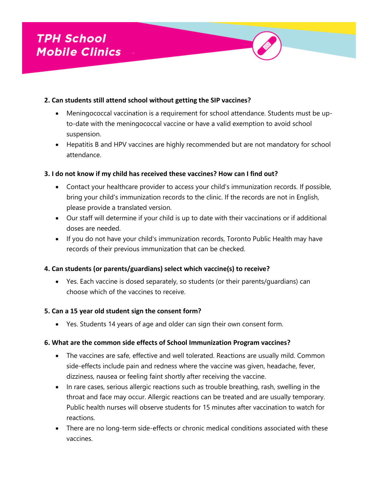## **2. Can students still attend school without getting the SIP vaccines?**

- Meningococcal vaccination is a requirement for school attendance. Students must be upto-date with the meningococcal vaccine or have a valid exemption to avoid school suspension.
- Hepatitis B and HPV vaccines are highly recommended but are not mandatory for school attendance.

# **3. I do not know if my child has received these vaccines? How can I find out?**

- Contact your healthcare provider to access your child's immunization records. If possible, bring your child's immunization records to the clinic. If the records are not in English, please provide a translated version.
- Our staff will determine if your child is up to date with their vaccinations or if additional doses are needed.
- If you do not have your child's immunization records, Toronto Public Health may have records of their previous immunization that can be checked.

## **4. Can students (or parents/guardians) select which vaccine(s) to receive?**

 Yes. Each vaccine is dosed separately, so students (or their parents/guardians) can choose which of the vaccines to receive.

## **5. Can a 15 year old student sign the consent form?**

Yes. Students 14 years of age and older can sign their own consent form.

## **6. What are the common side effects of School Immunization Program vaccines?**

- The vaccines are safe, effective and well tolerated. Reactions are usually mild. Common side-effects include pain and redness where the vaccine was given, headache, fever, dizziness, nausea or feeling faint shortly after receiving the vaccine.
- In rare cases, serious allergic reactions such as trouble breathing, rash, swelling in the throat and face may occur. Allergic reactions can be treated and are usually temporary. Public health nurses will observe students for 15 minutes after vaccination to watch for reactions.
- There are no long-term side-effects or chronic medical conditions associated with these vaccines.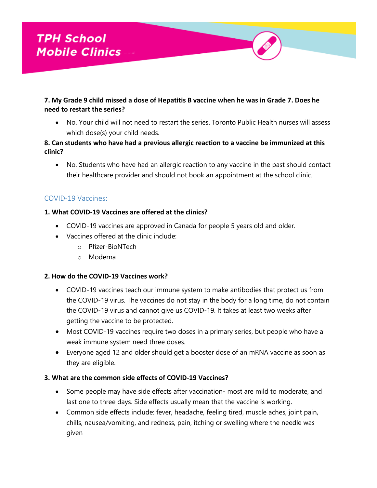# **7. My Grade 9 child missed a dose of Hepatitis B vaccine when he was in Grade 7. Does he need to restart the series?**

 No. Your child will not need to restart the series. Toronto Public Health nurses will assess which dose(s) your child needs.

# **8. Can students who have had a previous allergic reaction to a vaccine be immunized at this clinic?**

 No. Students who have had an allergic reaction to any vaccine in the past should contact their healthcare provider and should not book an appointment at the school clinic.

# COVID-19 Vaccines:

# **1. What COVID-19 Vaccines are offered at the clinics?**

- COVID-19 vaccines are approved in Canada for people 5 years old and older.
- Vaccines offered at the clinic include:
	- o Pfizer-BioNTech
	- o Moderna

## **2. How do the COVID-19 Vaccines work?**

- COVID-19 vaccines teach our immune system to make antibodies that protect us from the COVID-19 virus. The vaccines do not stay in the body for a long time, do not contain the COVID-19 virus and cannot give us COVID-19. It takes at least two weeks after getting the vaccine to be protected.
- Most COVID-19 vaccines require two doses in a primary series, but people who have a weak immune system need three doses.
- Everyone aged 12 and older should get a booster dose of an mRNA vaccine as soon as they are eligible.

## **3. What are the common side effects of COVID-19 Vaccines?**

- Some people may have side effects after vaccination- most are mild to moderate, and last one to three days. Side effects usually mean that the vaccine is working.
- Common side effects include: fever, headache, feeling tired, muscle aches, joint pain, chills, nausea/vomiting, and redness, pain, itching or swelling where the needle was given